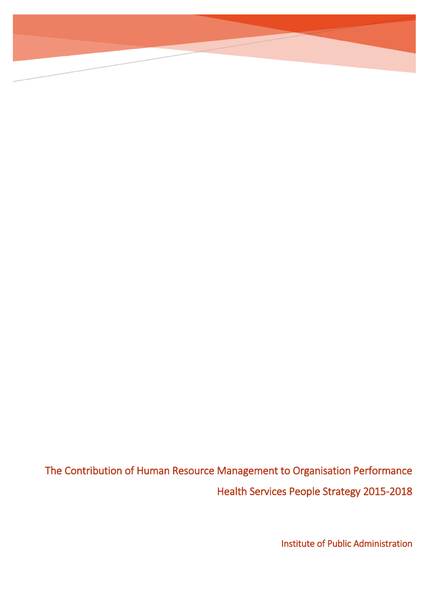The Contribution of Human Resource Management to Organisation Performance Health Services People Strategy 2015-2018

Institute of Public Administration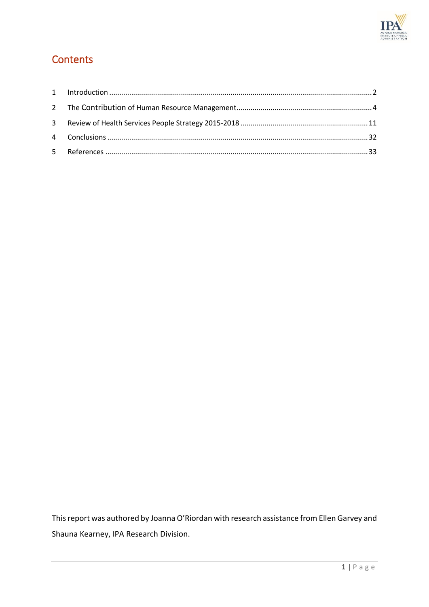

# **Contents**

This report was authored by Joanna O'Riordan with research assistance from Ellen Garvey and Shauna Kearney, IPA Research Division.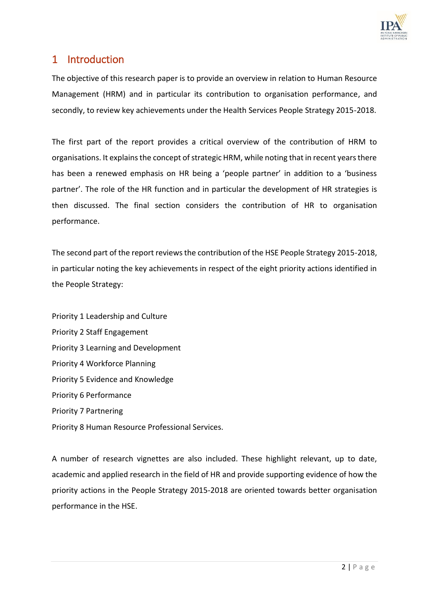

# <span id="page-2-0"></span>1 Introduction

The objective of this research paper is to provide an overview in relation to Human Resource Management (HRM) and in particular its contribution to organisation performance, and secondly, to review key achievements under the Health Services People Strategy 2015-2018.

The first part of the report provides a critical overview of the contribution of HRM to organisations. It explains the concept of strategic HRM, while noting that in recent years there has been a renewed emphasis on HR being a 'people partner' in addition to a 'business partner'. The role of the HR function and in particular the development of HR strategies is then discussed. The final section considers the contribution of HR to organisation performance.

The second part of the report reviews the contribution of the HSE People Strategy 2015-2018, in particular noting the key achievements in respect of the eight priority actions identified in the People Strategy:

Priority 1 Leadership and Culture Priority 2 Staff Engagement Priority 3 Learning and Development Priority 4 Workforce Planning Priority 5 Evidence and Knowledge Priority 6 Performance Priority 7 Partnering Priority 8 Human Resource Professional Services.

A number of research vignettes are also included. These highlight relevant, up to date, academic and applied research in the field of HR and provide supporting evidence of how the priority actions in the People Strategy 2015-2018 are oriented towards better organisation performance in the HSE.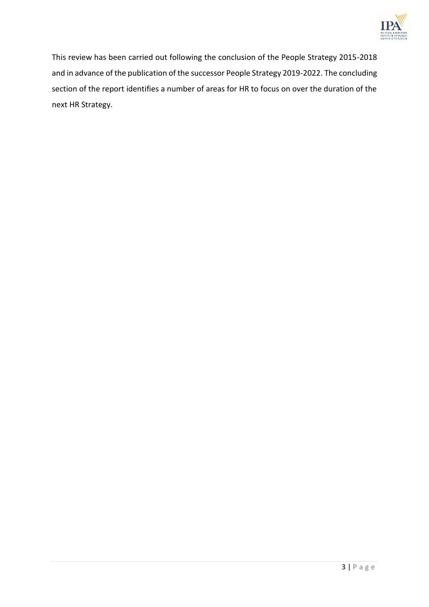

This review has been carried out following the conclusion of the People Strategy 2015-2018 and in advance of the publication of the successor People Strategy 2019-2022. The concluding section of the report identifies a number of areas for HR to focus on over the duration of the next HR Strategy.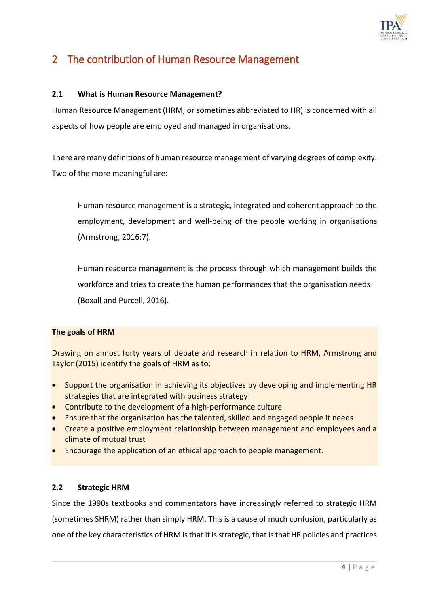

# 2 The contribution of Human Resource Management

## **2.1 What is Human Resource Management?**

Human Resource Management (HRM, or sometimes abbreviated to HR) is concerned with all aspects of how people are employed and managed in organisations.

There are many definitions of human resource management of varying degrees of complexity. Two of the more meaningful are:

Human resource management is a strategic, integrated and coherent approach to the employment, development and well-being of the people working in organisations (Armstrong, 2016:7).

Human resource management is the process through which management builds the workforce and tries to create the human performances that the organisation needs (Boxall and Purcell, 2016).

## **The goals of HRM**

Drawing on almost forty years of debate and research in relation to HRM, Armstrong and Taylor (2015) identify the goals of HRM as to:

- Support the organisation in achieving its objectives by developing and implementing HR strategies that are integrated with business strategy
- Contribute to the development of a high-performance culture
- Ensure that the organisation has the talented, skilled and engaged people it needs
- Create a positive employment relationship between management and employees and a climate of mutual trust
- Encourage the application of an ethical approach to people management.

## **2.2 Strategic HRM**

Since the 1990s textbooks and commentators have increasingly referred to strategic HRM (sometimes SHRM) rather than simply HRM. This is a cause of much confusion, particularly as one of the key characteristics of HRM is that it is strategic, that is that HR policies and practices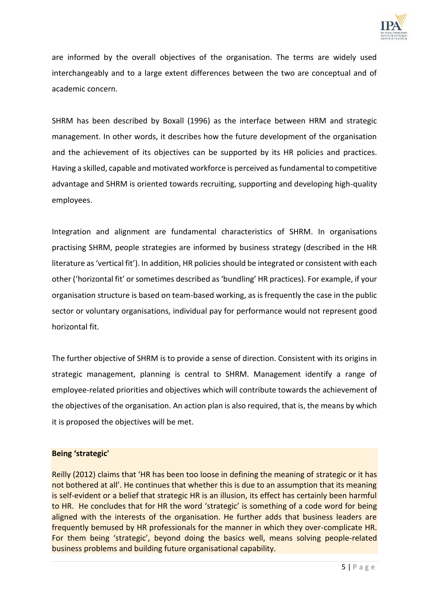

are informed by the overall objectives of the organisation. The terms are widely used interchangeably and to a large extent differences between the two are conceptual and of academic concern.

SHRM has been described by Boxall (1996) as the interface between HRM and strategic management. In other words, it describes how the future development of the organisation and the achievement of its objectives can be supported by its HR policies and practices. Having a skilled, capable and motivated workforce is perceived as fundamental to competitive advantage and SHRM is oriented towards recruiting, supporting and developing high-quality employees.

Integration and alignment are fundamental characteristics of SHRM. In organisations practising SHRM, people strategies are informed by business strategy (described in the HR literature as 'vertical fit'). In addition, HR policies should be integrated or consistent with each other ('horizontal fit' or sometimes described as 'bundling' HR practices). For example, if your organisation structure is based on team-based working, as is frequently the case in the public sector or voluntary organisations, individual pay for performance would not represent good horizontal fit.

The further objective of SHRM is to provide a sense of direction. Consistent with its origins in strategic management, planning is central to SHRM. Management identify a range of employee-related priorities and objectives which will contribute towards the achievement of the objectives of the organisation. An action plan is also required, that is, the means by which it is proposed the objectives will be met.

#### **Being 'strategic'**

Reilly (2012) claims that 'HR has been too loose in defining the meaning of strategic or it has not bothered at all'. He continues that whether this is due to an assumption that its meaning is self-evident or a belief that strategic HR is an illusion, its effect has certainly been harmful to HR. He concludes that for HR the word 'strategic' is something of a code word for being aligned with the interests of the organisation. He further adds that business leaders are frequently bemused by HR professionals for the manner in which they over-complicate HR. For them being 'strategic', beyond doing the basics well, means solving people-related business problems and building future organisational capability.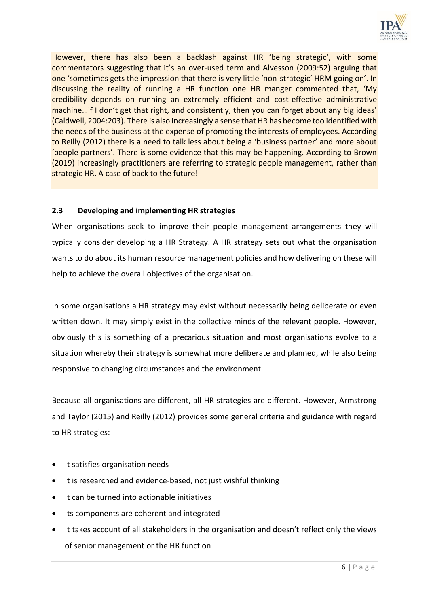

However, there has also been a backlash against HR 'being strategic', with some commentators suggesting that it's an over-used term and Alvesson (2009:52) arguing that one 'sometimes gets the impression that there is very little 'non-strategic' HRM going on'. In discussing the reality of running a HR function one HR manger commented that, 'My credibility depends on running an extremely efficient and cost-effective administrative machine…if I don't get that right, and consistently, then you can forget about any big ideas' (Caldwell, 2004:203). There is also increasingly a sense that HR has become too identified with the needs of the business at the expense of promoting the interests of employees. According to Reilly (2012) there is a need to talk less about being a 'business partner' and more about 'people partners'. There is some evidence that this may be happening. According to Brown (2019) increasingly practitioners are referring to strategic people management, rather than strategic HR. A case of back to the future!

## **2.3 Developing and implementing HR strategies**

When organisations seek to improve their people management arrangements they will typically consider developing a HR Strategy. A HR strategy sets out what the organisation wants to do about its human resource management policies and how delivering on these will help to achieve the overall objectives of the organisation.

In some organisations a HR strategy may exist without necessarily being deliberate or even written down. It may simply exist in the collective minds of the relevant people. However, obviously this is something of a precarious situation and most organisations evolve to a situation whereby their strategy is somewhat more deliberate and planned, while also being responsive to changing circumstances and the environment.

Because all organisations are different, all HR strategies are different. However, Armstrong and Taylor (2015) and Reilly (2012) provides some general criteria and guidance with regard to HR strategies:

- It satisfies organisation needs
- It is researched and evidence-based, not just wishful thinking
- It can be turned into actionable initiatives
- Its components are coherent and integrated
- It takes account of all stakeholders in the organisation and doesn't reflect only the views of senior management or the HR function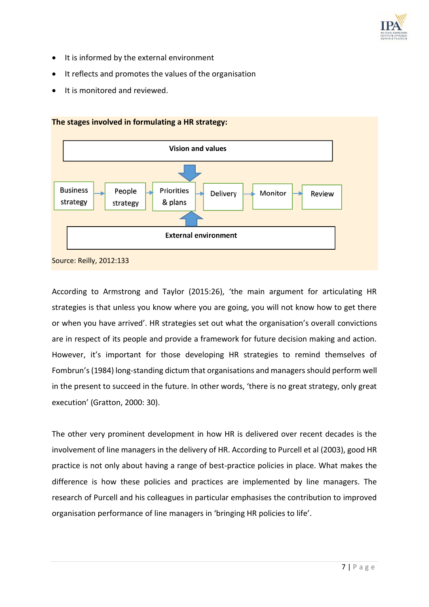

- It is informed by the external environment
- It reflects and promotes the values of the organisation
- It is monitored and reviewed.



According to Armstrong and Taylor (2015:26), 'the main argument for articulating HR strategies is that unless you know where you are going, you will not know how to get there or when you have arrived'. HR strategies set out what the organisation's overall convictions are in respect of its people and provide a framework for future decision making and action. However, it's important for those developing HR strategies to remind themselves of Fombrun's (1984) long-standing dictum that organisations and managers should perform well in the present to succeed in the future. In other words, 'there is no great strategy, only great execution' (Gratton, 2000: 30).

The other very prominent development in how HR is delivered over recent decades is the involvement of line managers in the delivery of HR. According to Purcell et al (2003), good HR practice is not only about having a range of best-practice policies in place. What makes the difference is how these policies and practices are implemented by line managers. The research of Purcell and his colleagues in particular emphasises the contribution to improved organisation performance of line managers in 'bringing HR policies to life'.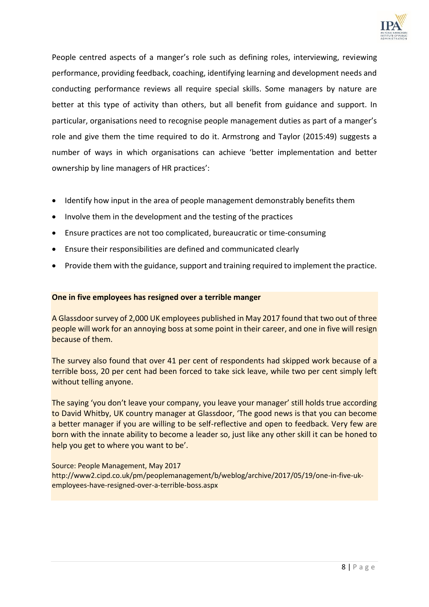

People centred aspects of a manger's role such as defining roles, interviewing, reviewing performance, providing feedback, coaching, identifying learning and development needs and conducting performance reviews all require special skills. Some managers by nature are better at this type of activity than others, but all benefit from guidance and support. In particular, organisations need to recognise people management duties as part of a manger's role and give them the time required to do it. Armstrong and Taylor (2015:49) suggests a number of ways in which organisations can achieve 'better implementation and better ownership by line managers of HR practices':

- Identify how input in the area of people management demonstrably benefits them
- Involve them in the development and the testing of the practices
- Ensure practices are not too complicated, bureaucratic or time-consuming
- Ensure their responsibilities are defined and communicated clearly
- Provide them with the guidance, support and training required to implement the practice.

#### **One in five employees has resigned over a terrible manger**

A Glassdoor survey of 2,000 UK employees published in May 2017 found that two out of three people will work for an annoying boss at some point in their career, and one in five will resign because of them.

The survey also found that over 41 per cent of respondents had skipped work because of a terrible boss, 20 per cent had been forced to take sick leave, while two per cent simply left without telling anyone.

The saying 'you don't leave your company, you leave your manager' still holds true according to David Whitby, UK country manager at Glassdoor, 'The good news is that you can become a better manager if you are willing to be self-reflective and open to feedback. Very few are born with the innate ability to become a leader so, just like any other skill it can be honed to help you get to where you want to be'.

Source: People Management, May 2017 [http://www2.cipd.co.uk/pm/peoplemanagement/b/weblog/archive/2017/05/19/one-in-five-uk](http://www2.cipd.co.uk/pm/peoplemanagement/b/weblog/archive/2017/05/19/one-in-five-uk-employees-have-resigned-over-a-terrible-boss.aspx)[employees-have-resigned-over-a-terrible-boss.aspx](http://www2.cipd.co.uk/pm/peoplemanagement/b/weblog/archive/2017/05/19/one-in-five-uk-employees-have-resigned-over-a-terrible-boss.aspx)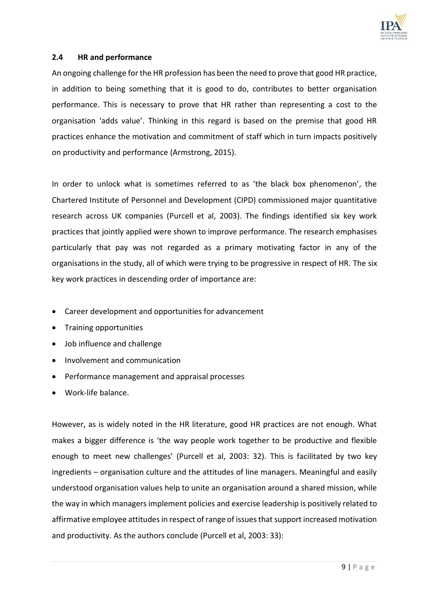

#### **2.4 HR and performance**

An ongoing challenge for the HR profession has been the need to prove that good HR practice, in addition to being something that it is good to do, contributes to better organisation performance. This is necessary to prove that HR rather than representing a cost to the organisation 'adds value'. Thinking in this regard is based on the premise that good HR practices enhance the motivation and commitment of staff which in turn impacts positively on productivity and performance (Armstrong, 2015).

In order to unlock what is sometimes referred to as 'the black box phenomenon', the Chartered Institute of Personnel and Development (CIPD) commissioned major quantitative research across UK companies (Purcell et al, 2003). The findings identified six key work practices that jointly applied were shown to improve performance. The research emphasises particularly that pay was not regarded as a primary motivating factor in any of the organisations in the study, all of which were trying to be progressive in respect of HR. The six key work practices in descending order of importance are:

- Career development and opportunities for advancement
- Training opportunities
- Job influence and challenge
- Involvement and communication
- Performance management and appraisal processes
- Work-life balance.

However, as is widely noted in the HR literature, good HR practices are not enough. What makes a bigger difference is 'the way people work together to be productive and flexible enough to meet new challenges' (Purcell et al, 2003: 32). This is facilitated by two key ingredients – organisation culture and the attitudes of line managers. Meaningful and easily understood organisation values help to unite an organisation around a shared mission, while the way in which managers implement policies and exercise leadership is positively related to affirmative employee attitudes in respect of range of issues that support increased motivation and productivity. As the authors conclude (Purcell et al, 2003: 33):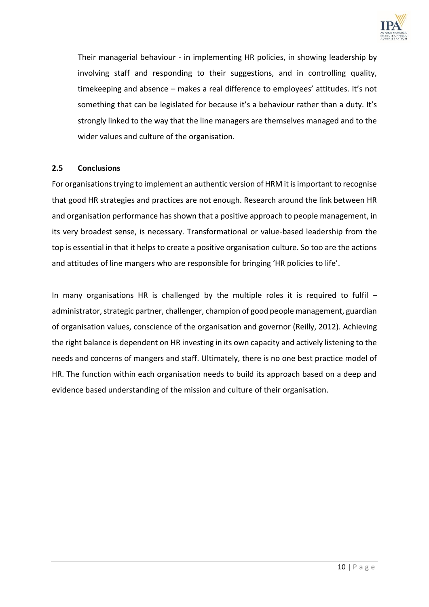

Their managerial behaviour - in implementing HR policies, in showing leadership by involving staff and responding to their suggestions, and in controlling quality, timekeeping and absence – makes a real difference to employees' attitudes. It's not something that can be legislated for because it's a behaviour rather than a duty. It's strongly linked to the way that the line managers are themselves managed and to the wider values and culture of the organisation.

#### **2.5 Conclusions**

For organisations trying to implement an authentic version of HRM it is important to recognise that good HR strategies and practices are not enough. Research around the link between HR and organisation performance has shown that a positive approach to people management, in its very broadest sense, is necessary. Transformational or value-based leadership from the top is essential in that it helps to create a positive organisation culture. So too are the actions and attitudes of line mangers who are responsible for bringing 'HR policies to life'.

In many organisations HR is challenged by the multiple roles it is required to fulfil  $$ administrator, strategic partner, challenger, champion of good people management, guardian of organisation values, conscience of the organisation and governor (Reilly, 2012). Achieving the right balance is dependent on HR investing in its own capacity and actively listening to the needs and concerns of mangers and staff. Ultimately, there is no one best practice model of HR. The function within each organisation needs to build its approach based on a deep and evidence based understanding of the mission and culture of their organisation.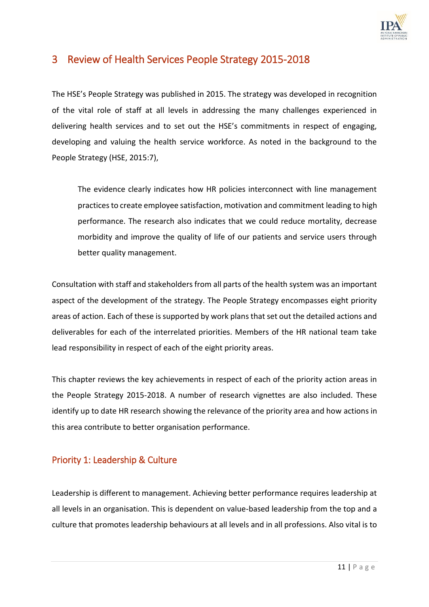

# 3 Review of Health Services People Strategy 2015-2018

The HSE's People Strategy was published in 2015. The strategy was developed in recognition of the vital role of staff at all levels in addressing the many challenges experienced in delivering health services and to set out the HSE's commitments in respect of engaging, developing and valuing the health service workforce. As noted in the background to the People Strategy (HSE, 2015:7),

The evidence clearly indicates how HR policies interconnect with line management practices to create employee satisfaction, motivation and commitment leading to high performance. The research also indicates that we could reduce mortality, decrease morbidity and improve the quality of life of our patients and service users through better quality management.

Consultation with staff and stakeholders from all parts of the health system was an important aspect of the development of the strategy. The People Strategy encompasses eight priority areas of action. Each of these is supported by work plans that set out the detailed actions and deliverables for each of the interrelated priorities. Members of the HR national team take lead responsibility in respect of each of the eight priority areas.

This chapter reviews the key achievements in respect of each of the priority action areas in the People Strategy 2015-2018. A number of research vignettes are also included. These identify up to date HR research showing the relevance of the priority area and how actions in this area contribute to better organisation performance.

## Priority 1: Leadership & Culture

Leadership is different to management. Achieving better performance requires leadership at all levels in an organisation. This is dependent on value-based leadership from the top and a culture that promotes leadership behaviours at all levels and in all professions. Also vital is to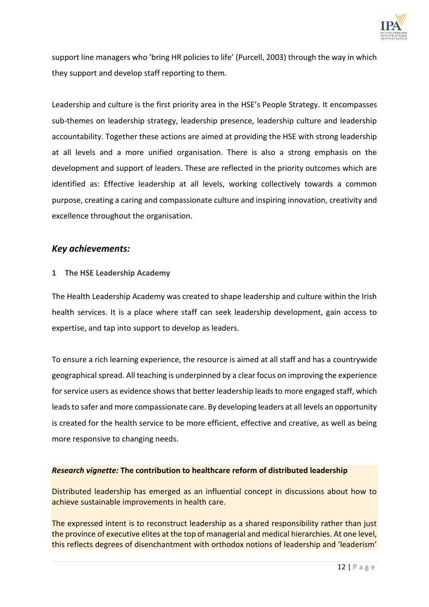

support line managers who 'bring HR policies to life' (Purcell, 2003) through the way in which they support and develop staff reporting to them.

Leadership and culture is the first priority area in the HSE's People Strategy. It encompasses sub-themes on leadership strategy, leadership presence, leadership culture and leadership accountability. Together these actions are aimed at providing the HSE with strong leadership at all levels and a more unified organisation. There is also a strong emphasis on the development and support of leaders. These are reflected in the priority outcomes which are identified as: Effective leadership at all levels, working collectively towards a common purpose, creating a caring and compassionate culture and inspiring innovation, creativity and excellence throughout the organisation.

## *Key achievements:*

#### **1 The HSE Leadership Academy**

The Health Leadership Academy was created to shape leadership and culture within the Irish health services. It is a place where staff can seek leadership development, gain access to expertise, and tap into support to develop as leaders.

To ensure a rich learning experience, the resource is aimed at all staff and has a countrywide geographical spread. All teaching is underpinned by a clear focus on improving the experience for service users as evidence shows that better leadership leads to more engaged staff, which leads to safer and more compassionate care. By developing leaders at all levels an opportunity is created for the health service to be more efficient, effective and creative, as well as being more responsive to changing needs.

#### *Research vignette:* **The contribution to healthcare reform of distributed leadership**

Distributed leadership has emerged as an influential concept in discussions about how to achieve sustainable improvements in health care.

The expressed intent is to reconstruct leadership as a shared responsibility rather than just the province of executive elites at the top of managerial and medical hierarchies. At one level, this reflects degrees of disenchantment with orthodox notions of leadership and 'leaderism'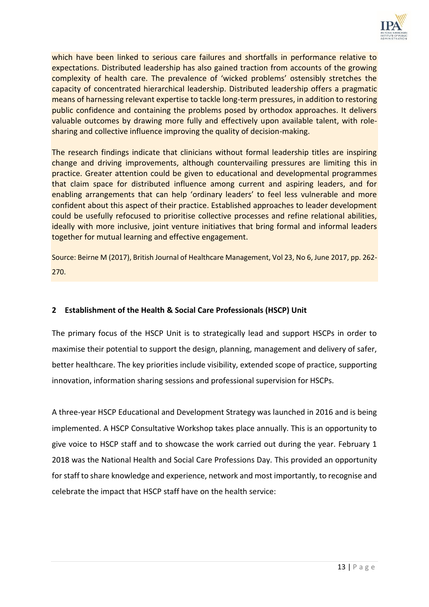

which have been linked to serious care failures and shortfalls in performance relative to expectations. Distributed leadership has also gained traction from accounts of the growing complexity of health care. The prevalence of 'wicked problems' ostensibly stretches the capacity of concentrated hierarchical leadership. Distributed leadership offers a pragmatic means of harnessing relevant expertise to tackle long-term pressures, in addition to restoring public confidence and containing the problems posed by orthodox approaches. It delivers valuable outcomes by drawing more fully and effectively upon available talent, with rolesharing and collective influence improving the quality of decision-making.

The research findings indicate that clinicians without formal leadership titles are inspiring change and driving improvements, although countervailing pressures are limiting this in practice. Greater attention could be given to educational and developmental programmes that claim space for distributed influence among current and aspiring leaders, and for enabling arrangements that can help 'ordinary leaders' to feel less vulnerable and more confident about this aspect of their practice. Established approaches to leader development could be usefully refocused to prioritise collective processes and refine relational abilities, ideally with more inclusive, joint venture initiatives that bring formal and informal leaders together for mutual learning and effective engagement.

Source: Beirne M (2017), British Journal of Healthcare Management, Vol 23, No 6, June 2017, pp. 262- 270.

## **2 Establishment of the Health & Social Care Professionals (HSCP) Unit**

The primary focus of the HSCP Unit is to strategically lead and support HSCPs in order to maximise their potential to support the design, planning, management and delivery of safer, better healthcare. The key priorities include visibility, extended scope of practice, supporting innovation, information sharing sessions and professional supervision for HSCPs.

A three-year HSCP Educational and Development Strategy was launched in 2016 and is being implemented. A HSCP Consultative Workshop takes place annually. This is an opportunity to give voice to HSCP staff and to showcase the work carried out during the year. February 1 2018 was the National Health and Social Care Professions Day. This provided an opportunity for staff to share knowledge and experience, network and most importantly, to recognise and celebrate the impact that HSCP staff have on the health service: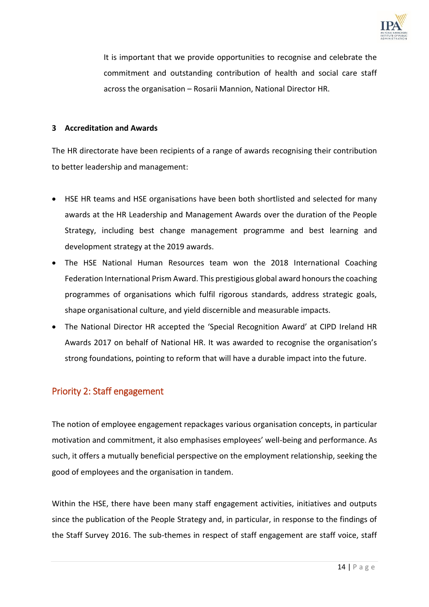

It is important that we provide opportunities to recognise and celebrate the commitment and outstanding contribution of health and social care staff across the organisation – Rosarii Mannion, National Director HR.

#### **3 Accreditation and Awards**

The HR directorate have been recipients of a range of awards recognising their contribution to better leadership and management:

- HSE HR teams and HSE organisations have been both shortlisted and selected for many awards at the HR Leadership and Management Awards over the duration of the People Strategy, including best change management programme and best learning and development strategy at the 2019 awards.
- The HSE National Human Resources team won the 2018 International Coaching Federation International Prism Award. This prestigious global award honours the coaching programmes of organisations which fulfil rigorous standards, address strategic goals, shape organisational culture, and yield discernible and measurable impacts.
- The National Director HR accepted the 'Special Recognition Award' at CIPD Ireland HR Awards 2017 on behalf of National HR. It was awarded to recognise the organisation's strong foundations, pointing to reform that will have a durable impact into the future.

## Priority 2: Staff engagement

The notion of employee engagement repackages various organisation concepts, in particular motivation and commitment, it also emphasises employees' well-being and performance. As such, it offers a mutually beneficial perspective on the employment relationship, seeking the good of employees and the organisation in tandem.

Within the HSE, there have been many staff engagement activities, initiatives and outputs since the publication of the People Strategy and, in particular, in response to the findings of the Staff Survey 2016. The sub-themes in respect of staff engagement are staff voice, staff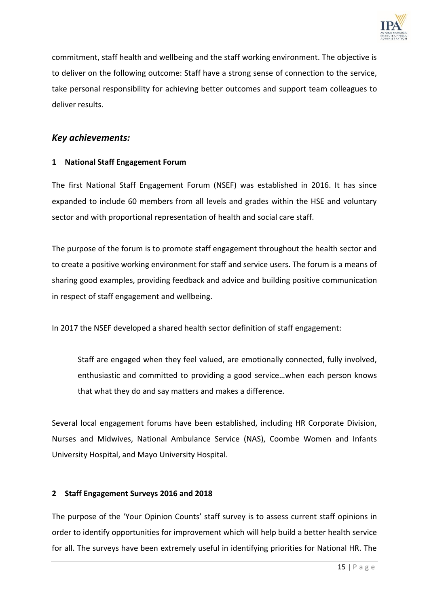

commitment, staff health and wellbeing and the staff working environment. The objective is to deliver on the following outcome: Staff have a strong sense of connection to the service, take personal responsibility for achieving better outcomes and support team colleagues to deliver results.

## *Key achievements:*

## **1 National Staff Engagement Forum**

The first National Staff Engagement Forum (NSEF) was established in 2016. It has since expanded to include 60 members from all levels and grades within the HSE and voluntary sector and with proportional representation of health and social care staff.

The purpose of the forum is to promote staff engagement throughout the health sector and to create a positive working environment for staff and service users. The forum is a means of sharing good examples, providing feedback and advice and building positive communication in respect of staff engagement and wellbeing.

In 2017 the NSEF developed a shared health sector definition of staff engagement:

Staff are engaged when they feel valued, are emotionally connected, fully involved, enthusiastic and committed to providing a good service…when each person knows that what they do and say matters and makes a difference.

Several local engagement forums have been established, including HR Corporate Division, Nurses and Midwives, National Ambulance Service (NAS), Coombe Women and Infants University Hospital, and Mayo University Hospital.

## **2 Staff Engagement Surveys 2016 and 2018**

The purpose of the 'Your Opinion Counts' staff survey is to assess current staff opinions in order to identify opportunities for improvement which will help build a better health service for all. The surveys have been extremely useful in identifying priorities for National HR. The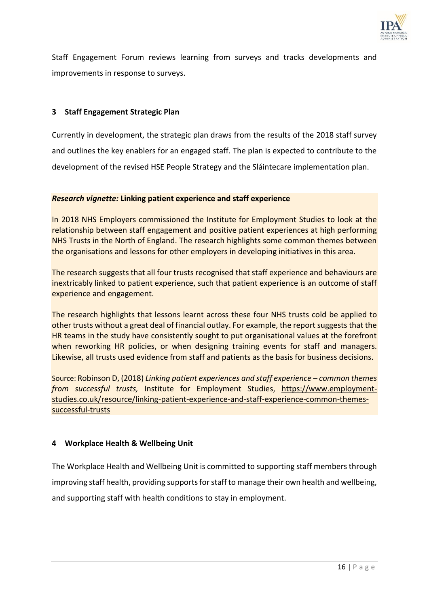

Staff Engagement Forum reviews learning from surveys and tracks developments and improvements in response to surveys.

### **3 Staff Engagement Strategic Plan**

Currently in development, the strategic plan draws from the results of the 2018 staff survey and outlines the key enablers for an engaged staff. The plan is expected to contribute to the development of the revised HSE People Strategy and the Sláintecare implementation plan.

#### *Research vignette:* **Linking patient experience and staff experience**

In 2018 NHS Employers commissioned the Institute for Employment Studies to look at the relationship between staff engagement and positive patient experiences at high performing NHS Trusts in the North of England. The research highlights some common themes between the organisations and lessons for other employers in developing initiatives in this area.

The research suggests that all four trusts recognised that staff experience and behaviours are inextricably linked to patient experience, such that patient experience is an outcome of staff experience and engagement.

The research highlights that lessons learnt across these four NHS trusts cold be applied to other trusts without a great deal of financial outlay. For example, the report suggests that the HR teams in the study have consistently sought to put organisational values at the forefront when reworking HR policies, or when designing training events for staff and managers. Likewise, all trusts used evidence from staff and patients as the basis for business decisions.

Source: Robinson D, (2018) *Linking patient experiences and staff experience – common themes from successful trusts,* Institute for Employment Studies, [https://www.employment](https://www.employment-studies.co.uk/resource/linking-patient-experience-and-staff-experience-common-themes-successful-trusts)[studies.co.uk/resource/linking-patient-experience-and-staff-experience-common-themes](https://www.employment-studies.co.uk/resource/linking-patient-experience-and-staff-experience-common-themes-successful-trusts)[successful-trusts](https://www.employment-studies.co.uk/resource/linking-patient-experience-and-staff-experience-common-themes-successful-trusts)

## **4 Workplace Health & Wellbeing Unit**

The Workplace Health and Wellbeing Unit is committed to supporting staff members through improving staff health, providing supports for staff to manage their own health and wellbeing, and supporting staff with health conditions to stay in employment.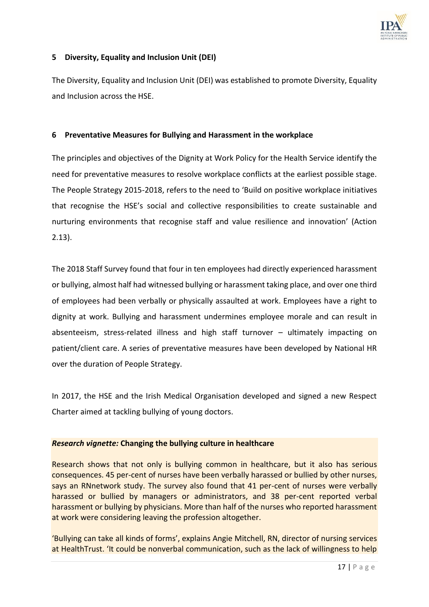

### **5 Diversity, Equality and Inclusion Unit (DEI)**

The Diversity, Equality and Inclusion Unit (DEI) was established to promote Diversity, Equality and Inclusion across the HSE.

#### **6 Preventative Measures for Bullying and Harassment in the workplace**

The principles and objectives of the Dignity at Work Policy for the Health Service identify the need for preventative measures to resolve workplace conflicts at the earliest possible stage. The People Strategy 2015-2018, refers to the need to 'Build on positive workplace initiatives that recognise the HSE's social and collective responsibilities to create sustainable and nurturing environments that recognise staff and value resilience and innovation' (Action 2.13).

The 2018 Staff Survey found that four in ten employees had directly experienced harassment or bullying, almost half had witnessed bullying or harassment taking place, and over one third of employees had been verbally or physically assaulted at work. Employees have a right to dignity at work. Bullying and harassment undermines employee morale and can result in absenteeism, stress-related illness and high staff turnover – ultimately impacting on patient/client care. A series of preventative measures have been developed by National HR over the duration of People Strategy.

In 2017, the HSE and the Irish Medical Organisation developed and signed a new Respect Charter aimed at tackling bullying of young doctors.

#### *Research vignette:* **Changing the bullying culture in healthcare**

Research shows that not only is bullying common in healthcare, but it also has serious consequences. 45 per-cent of nurses have been verbally harassed or bullied by other nurses, says an RNnetwork study. The survey also found that 41 per-cent of nurses were verbally harassed or bullied by managers or administrators, and 38 per-cent reported verbal harassment or bullying by physicians. More than half of the nurses who reported harassment at work were considering leaving the profession altogether.

'Bullying can take all kinds of forms', explains Angie Mitchell, RN, director of nursing services at HealthTrust. 'It could be nonverbal communication, such as the lack of willingness to help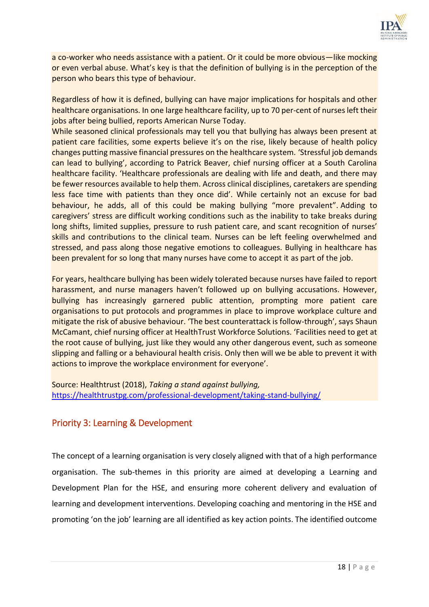

a co-worker who needs assistance with a patient. Or it could be more obvious—like mocking or even verbal abuse. What's key is that the definition of bullying is in the perception of the person who bears this type of behaviour.

Regardless of how it is defined, bullying can have major implications for hospitals and other healthcare organisations. In one large healthcare facility, up to 70 per-cent of nurses left their jobs after being bullied, reports American Nurse Today.

While seasoned clinical professionals may tell you that bullying has always been present at patient care facilities, some experts believe it's on the rise, likely because of health policy changes putting massive financial pressures on the healthcare system. 'Stressful job demands can lead to bullying', according to Patrick Beaver, chief nursing officer at a South Carolina healthcare facility. 'Healthcare professionals are dealing with life and death, and there may be fewer resources available to help them. Across clinical disciplines, caretakers are spending less face time with patients than they once did'. While certainly not an excuse for bad behaviour, he adds, all of this could be making bullying "more prevalent". Adding to caregivers' stress are difficult working conditions such as the inability to take breaks during long shifts, limited supplies, pressure to rush patient care, and scant recognition of nurses' skills and contributions to the clinical team. Nurses can be left feeling overwhelmed and stressed, and pass along those negative emotions to colleagues. Bullying in healthcare has been prevalent for so long that many nurses have come to accept it as part of the job.

For years, healthcare bullying has been widely tolerated because nurses have failed to report harassment, and nurse managers haven't followed up on bullying accusations. However, bullying has increasingly garnered public attention, prompting more patient care organisations to put protocols and programmes in place to improve workplace culture and mitigate the risk of abusive behaviour. 'The best counterattack is follow-through', says Shaun McCamant, chief nursing officer at HealthTrust Workforce Solutions. 'Facilities need to get at the root cause of bullying, just like they would any other dangerous event, such as someone slipping and falling or a behavioural health crisis. Only then will we be able to prevent it with actions to improve the workplace environment for everyone'.

Source: Healthtrust (2018), *Taking a stand against bullying,* <https://healthtrustpg.com/professional-development/taking-stand-bullying/>

## Priority 3: Learning & Development

The concept of a learning organisation is very closely aligned with that of a high performance organisation. The sub-themes in this priority are aimed at developing a Learning and Development Plan for the HSE, and ensuring more coherent delivery and evaluation of learning and development interventions. Developing coaching and mentoring in the HSE and promoting 'on the job' learning are all identified as key action points. The identified outcome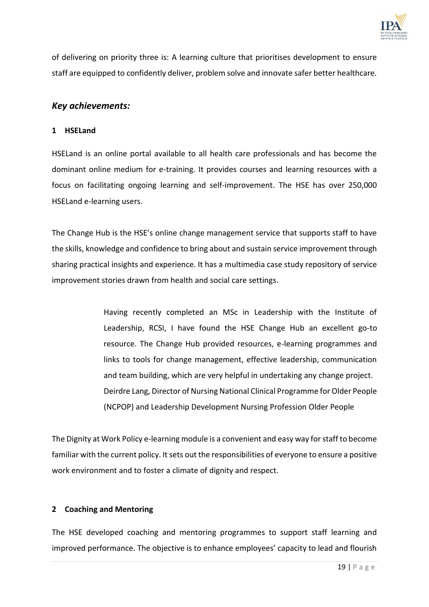

of delivering on priority three is: A learning culture that prioritises development to ensure staff are equipped to confidently deliver, problem solve and innovate safer better healthcare.

## *Key achievements:*

#### **1 HSELand**

HSELand is an online portal available to all health care professionals and has become the dominant online medium for e-training. It provides courses and learning resources with a focus on facilitating ongoing learning and self-improvement. The HSE has over 250,000 HSELand e-learning users.

The Change Hub is the HSE's online change management service that supports staff to have the skills, knowledge and confidence to bring about and sustain service improvement through sharing practical insights and experience. It has a multimedia case study repository of service improvement stories drawn from health and social care settings.

> Having recently completed an MSc in Leadership with the Institute of Leadership, RCSI, I have found the HSE Change Hub an excellent go-to resource. The Change Hub provided resources, e-learning programmes and links to tools for change management, effective leadership, communication and team building, which are very helpful in undertaking any change project. Deirdre Lang, Director of Nursing National Clinical Programme for Older People (NCPOP) and Leadership Development Nursing Profession Older People

The Dignity at Work Policy e-learning module is a convenient and easy way for staff to become familiar with the current policy. It sets out the responsibilities of everyone to ensure a positive work environment and to foster a climate of dignity and respect.

## **2 Coaching and Mentoring**

The HSE developed coaching and mentoring programmes to support staff learning and improved performance. The objective is to enhance employees' capacity to lead and flourish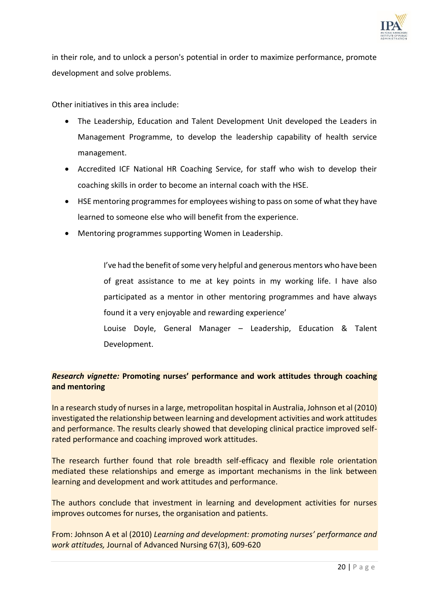

in their role, and to unlock a person's potential in order to maximize performance, promote development and solve problems.

Other initiatives in this area include:

- The Leadership, Education and Talent Development Unit developed the Leaders in Management Programme, to develop the leadership capability of health service management.
- Accredited ICF National HR Coaching Service, for staff who wish to develop their coaching skills in order to become an internal coach with the HSE.
- HSE mentoring programmes for employees wishing to pass on some of what they have learned to someone else who will benefit from the experience.
- Mentoring programmes supporting Women in Leadership.

I've had the benefit of some very helpful and generous mentors who have been of great assistance to me at key points in my working life. I have also participated as a mentor in other mentoring programmes and have always found it a very enjoyable and rewarding experience'

Louise Doyle, General Manager – Leadership, Education & Talent Development.

## *Research vignette:* **Promoting nurses' performance and work attitudes through coaching and mentoring**

In a research study of nurses in a large, metropolitan hospital in Australia, Johnson et al (2010) investigated the relationship between learning and development activities and work attitudes and performance. The results clearly showed that developing clinical practice improved selfrated performance and coaching improved work attitudes.

The research further found that role breadth self-efficacy and flexible role orientation mediated these relationships and emerge as important mechanisms in the link between learning and development and work attitudes and performance.

The authors conclude that investment in learning and development activities for nurses improves outcomes for nurses, the organisation and patients.

From: Johnson A et al (2010) *Learning and development: promoting nurses' performance and work attitudes,* Journal of Advanced Nursing 67(3), 609-620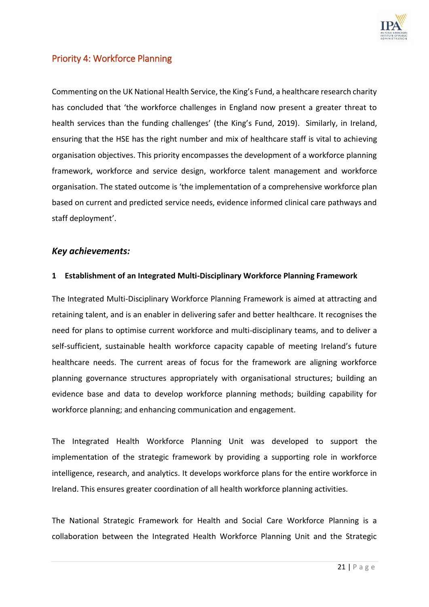

## Priority 4: Workforce Planning

Commenting on the UK National Health Service, the King's Fund, a healthcare research charity has concluded that 'the workforce challenges in England now present a greater threat to health services than the funding challenges' (the King's Fund, 2019). Similarly, in Ireland, ensuring that the HSE has the right number and mix of healthcare staff is vital to achieving organisation objectives. This priority encompasses the development of a workforce planning framework, workforce and service design, workforce talent management and workforce organisation. The stated outcome is 'the implementation of a comprehensive workforce plan based on current and predicted service needs, evidence informed clinical care pathways and staff deployment'.

#### *Key achievements:*

#### **1 Establishment of an Integrated Multi-Disciplinary Workforce Planning Framework**

The Integrated Multi-Disciplinary Workforce Planning Framework is aimed at attracting and retaining talent, and is an enabler in delivering safer and better healthcare. It recognises the need for plans to optimise current workforce and multi-disciplinary teams, and to deliver a self-sufficient, sustainable health workforce capacity capable of meeting Ireland's future healthcare needs. The current areas of focus for the framework are aligning workforce planning governance structures appropriately with organisational structures; building an evidence base and data to develop workforce planning methods; building capability for workforce planning; and enhancing communication and engagement.

The Integrated Health Workforce Planning Unit was developed to support the implementation of the strategic framework by providing a supporting role in workforce intelligence, research, and analytics. It develops workforce plans for the entire workforce in Ireland. This ensures greater coordination of all health workforce planning activities.

The National Strategic Framework for Health and Social Care Workforce Planning is a collaboration between the Integrated Health Workforce Planning Unit and the Strategic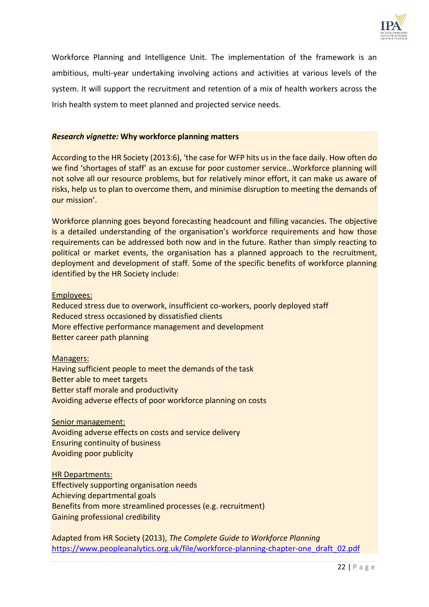

Workforce Planning and Intelligence Unit. The implementation of the framework is an ambitious, multi-year undertaking involving actions and activities at various levels of the system. It will support the recruitment and retention of a mix of health workers across the Irish health system to meet planned and projected service needs.

#### *Research vignette:* **Why workforce planning matters**

According to the HR Society (2013:6), 'the case for WFP hits us in the face daily. How often do we find 'shortages of staff' as an excuse for poor customer service…Workforce planning will not solve all our resource problems, but for relatively minor effort, it can make us aware of risks, help us to plan to overcome them, and minimise disruption to meeting the demands of our mission'.

Workforce planning goes beyond forecasting headcount and filling vacancies. The objective is a detailed understanding of the organisation's workforce requirements and how those requirements can be addressed both now and in the future. Rather than simply reacting to political or market events, the organisation has a planned approach to the recruitment, deployment and development of staff. Some of the specific benefits of workforce planning identified by the HR Society include:

#### Employees:

Reduced stress due to overwork, insufficient co-workers, poorly deployed staff Reduced stress occasioned by dissatisfied clients More effective performance management and development Better career path planning

#### Managers:

Having sufficient people to meet the demands of the task Better able to meet targets Better staff morale and productivity Avoiding adverse effects of poor workforce planning on costs

#### Senior management:

Avoiding adverse effects on costs and service delivery Ensuring continuity of business Avoiding poor publicity

## HR Departments:

Effectively supporting organisation needs Achieving departmental goals Benefits from more streamlined processes (e.g. recruitment) Gaining professional credibility

Adapted from HR Society (2013), *The Complete Guide to Workforce Planning* [https://www.peopleanalytics.org.uk/file/workforce-planning-chapter-one\\_draft\\_02.pdf](https://www.peopleanalytics.org.uk/file/workforce-planning-chapter-one_draft_02.pdf)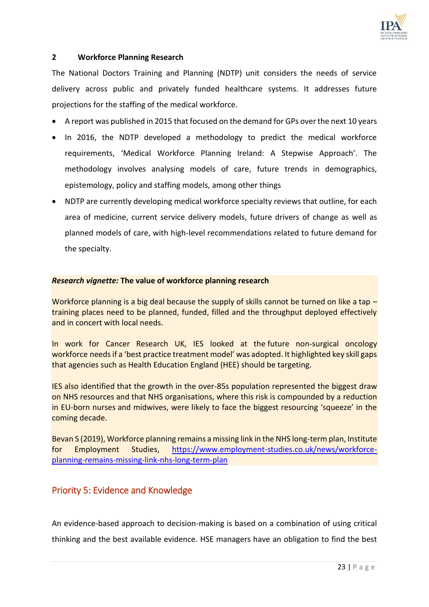

#### **2 Workforce Planning Research**

The National Doctors Training and Planning (NDTP) unit considers the needs of service delivery across public and privately funded healthcare systems. It addresses future projections for the staffing of the medical workforce.

- A report was published in 2015 that focused on the demand for GPs over the next 10 years
- In 2016, the NDTP developed a methodology to predict the medical workforce requirements, 'Medical Workforce Planning Ireland: A Stepwise Approach'. The methodology involves analysing models of care, future trends in demographics, epistemology, policy and staffing models, among other things
- NDTP are currently developing medical workforce specialty reviews that outline, for each area of medicine, current service delivery models, future drivers of change as well as planned models of care, with high-level recommendations related to future demand for the specialty.

#### *Research vignette:* **The value of workforce planning research**

Workforce planning is a big deal because the supply of skills cannot be turned on like a tap – training places need to be planned, funded, filled and the throughput deployed effectively and in concert with local needs.

In work for Cancer Research UK, IES looked at the [future non-surgical oncology](https://www.employment-studies.co.uk/resource/full-team-ahead-understanding-uk-non-surgical-cancer-treatments-workforce)  [workforce](https://www.employment-studies.co.uk/resource/full-team-ahead-understanding-uk-non-surgical-cancer-treatments-workforce) needs if a 'best practice treatment model' was adopted. It highlighted key skill gaps that agencies such as Health Education England (HEE) should be targeting.

IES also identified that the growth in the over-85s population represented the biggest draw on NHS resources and that NHS organisations, where this risk is compounded by a [reduction](https://www.employment-studies.co.uk/resource/beyond-brexit-assessing-key-risks-nursing-workforce-england)  [in EU-born nurses](https://www.employment-studies.co.uk/resource/beyond-brexit-assessing-key-risks-nursing-workforce-england) and midwives, were likely to face the biggest resourcing 'squeeze' in the coming decade.

Bevan S (2019), Workforce planning remains a missing link in the NHS long-term plan, Institute for Employment Studies, [https://www.employment-studies.co.uk/news/workforce](https://www.employment-studies.co.uk/news/workforce-planning-remains-missing-link-nhs-long-term-plan)[planning-remains-missing-link-nhs-long-term-plan](https://www.employment-studies.co.uk/news/workforce-planning-remains-missing-link-nhs-long-term-plan)

## Priority 5: Evidence and Knowledge

An evidence-based approach to decision-making is based on a combination of using critical thinking and the best available evidence. HSE managers have an obligation to find the best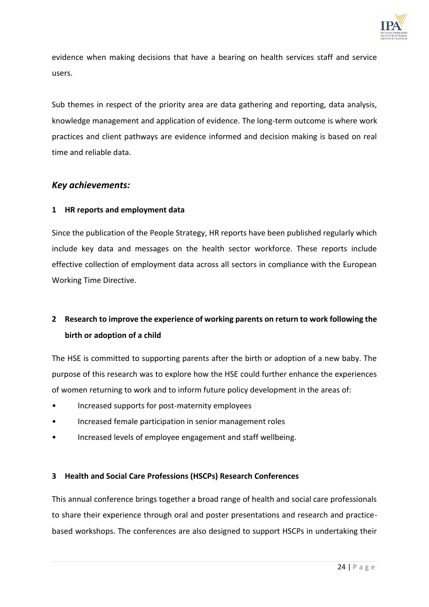

evidence when making decisions that have a bearing on health services staff and service users.

Sub themes in respect of the priority area are data gathering and reporting, data analysis, knowledge management and application of evidence. The long-term outcome is where work practices and client pathways are evidence informed and decision making is based on real time and reliable data.

## *Key achievements:*

## **1 HR reports and employment data**

Since the publication of the People Strategy, HR reports have been published regularly which include key data and messages on the health sector workforce. These reports include effective collection of employment data across all sectors in compliance with the European Working Time Directive.

# **2 Research to improve the experience of working parents on return to work following the birth or adoption of a child**

The HSE is committed to supporting parents after the birth or adoption of a new baby. The purpose of this research was to explore how the HSE could further enhance the experiences of women returning to work and to inform future policy development in the areas of:

- Increased supports for post-maternity employees
- Increased female participation in senior management roles
- Increased levels of employee engagement and staff wellbeing.

## **3 Health and Social Care Professions (HSCPs) Research Conferences**

This annual conference brings together a broad range of health and social care professionals to share their experience through oral and poster presentations and research and practicebased workshops. The conferences are also designed to support HSCPs in undertaking their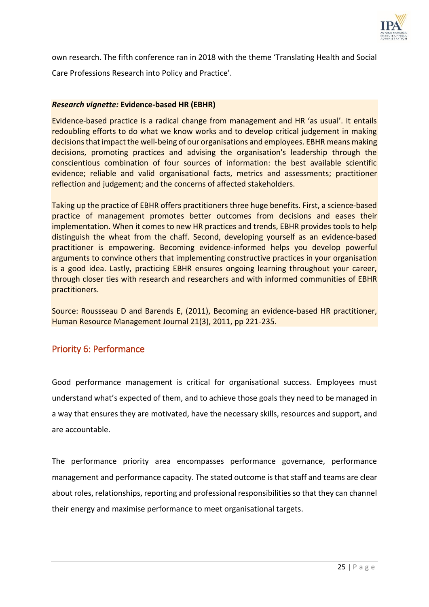

own research. The fifth conference ran in 2018 with the theme 'Translating Health and Social Care Professions Research into Policy and Practice'.

#### *Research vignette:* **Evidence-based HR (EBHR)**

Evidence‐based practice is a radical change from management and HR 'as usual'. It entails redoubling efforts to do what we know works and to develop critical judgement in making decisions that impact the well-being of our organisations and employees. EBHR means making decisions, promoting practices and advising the organisation's leadership through the conscientious combination of four sources of information: the best available scientific evidence; reliable and valid organisational facts, metrics and assessments; practitioner reflection and judgement; and the concerns of affected stakeholders.

Taking up the practice of EBHR offers practitioners three huge benefits. First, a science‐based practice of management promotes better outcomes from decisions and eases their implementation. When it comes to new HR practices and trends, EBHR provides tools to help distinguish the wheat from the chaff. Second, developing yourself as an evidence‐based practitioner is empowering. Becoming evidence‐informed helps you develop powerful arguments to convince others that implementing constructive practices in your organisation is a good idea. Lastly, practicing EBHR ensures ongoing learning throughout your career, through closer ties with research and researchers and with informed communities of EBHR practitioners.

Source: Roussseau D and Barends E, (2011), Becoming an evidence-based HR practitioner, Human Resource Management Journal 21(3), 2011, pp 221-235.

## Priority 6: Performance

Good performance management is critical for organisational success. Employees must understand what's expected of them, and to achieve those goals they need to be managed in a way that ensures they are motivated, have the necessary skills, resources and support, and are accountable.

The performance priority area encompasses performance governance, performance management and performance capacity. The stated outcome is that staff and teams are clear about roles, relationships, reporting and professional responsibilities so that they can channel their energy and maximise performance to meet organisational targets.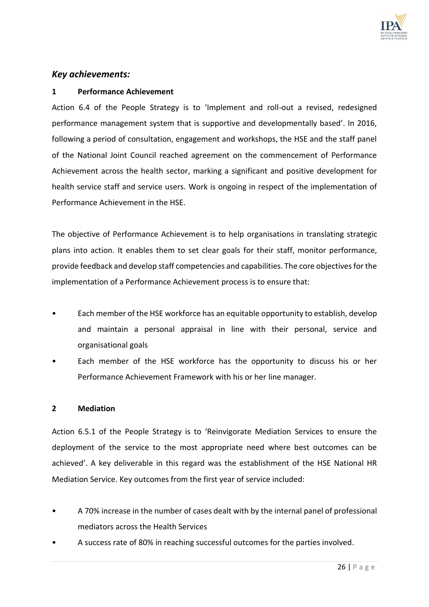

## *Key achievements:*

#### **1 Performance Achievement**

Action 6.4 of the People Strategy is to 'Implement and roll-out a revised, redesigned performance management system that is supportive and developmentally based'. In 2016, following a period of consultation, engagement and workshops, the HSE and the staff panel of the National Joint Council reached agreement on the commencement of Performance Achievement across the health sector, marking a significant and positive development for health service staff and service users. Work is ongoing in respect of the implementation of Performance Achievement in the HSE.

The objective of Performance Achievement is to help organisations in translating strategic plans into action. It enables them to set clear goals for their staff, monitor performance, provide feedback and develop staff competencies and capabilities. The core objectives for the implementation of a Performance Achievement process is to ensure that:

- Each member of the HSE workforce has an equitable opportunity to establish, develop and maintain a personal appraisal in line with their personal, service and organisational goals
- Each member of the HSE workforce has the opportunity to discuss his or her Performance Achievement Framework with his or her line manager.

#### **2 Mediation**

Action 6.5.1 of the People Strategy is to 'Reinvigorate Mediation Services to ensure the deployment of the service to the most appropriate need where best outcomes can be achieved'. A key deliverable in this regard was the establishment of the HSE National HR Mediation Service. Key outcomes from the first year of service included:

- A 70% increase in the number of cases dealt with by the internal panel of professional mediators across the Health Services
- A success rate of 80% in reaching successful outcomes for the parties involved.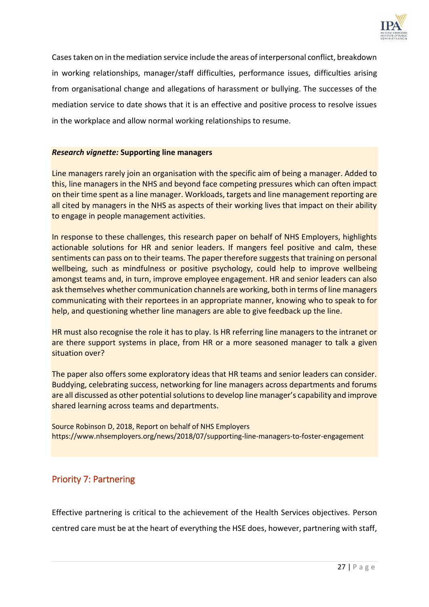

Cases taken on in the mediation service include the areas of interpersonal conflict, breakdown in working relationships, manager/staff difficulties, performance issues, difficulties arising from organisational change and allegations of harassment or bullying. The successes of the mediation service to date shows that it is an effective and positive process to resolve issues in the workplace and allow normal working relationships to resume.

#### *Research vignette:* **Supporting line managers**

Line managers rarely join an organisation with the specific aim of being a manager. Added to this, line managers in the NHS and beyond face competing pressures which can often impact on their time spent as a line manager. Workloads, targets and line management reporting are all cited by managers in the NHS as aspects of their working lives that impact on their ability to engage in people management activities.

In response to these challenges, this research paper on behalf of NHS Employers, highlights actionable solutions for HR and senior leaders. If mangers feel positive and calm, these sentiments can pass on to their teams. The paper therefore suggests that training on personal wellbeing, such as mindfulness or positive psychology, could help to improve wellbeing amongst teams and, in turn, improve employee engagement. HR and senior leaders can also ask themselves whether communication channels are working, both in terms of line managers communicating with their reportees in an appropriate manner, knowing who to speak to for help, and questioning whether line managers are able to give feedback up the line.

HR must also recognise the role it has to play. Is HR referring line managers to the intranet or are there support systems in place, from HR or a more seasoned manager to talk a given situation over?

The paper also offers some exploratory ideas that HR teams and senior leaders can consider. Buddying, celebrating success, networking for line managers across departments and forums are all discussed as other potential solutions to develop line manager's capability and improve shared learning across teams and departments.

Source Robinson D, 2018, Report on behalf of NHS Employers <https://www.nhsemployers.org/news/2018/07/supporting-line-managers-to-foster-engagement>

## Priority 7: Partnering

Effective partnering is critical to the achievement of the Health Services objectives. Person centred care must be at the heart of everything the HSE does, however, partnering with staff,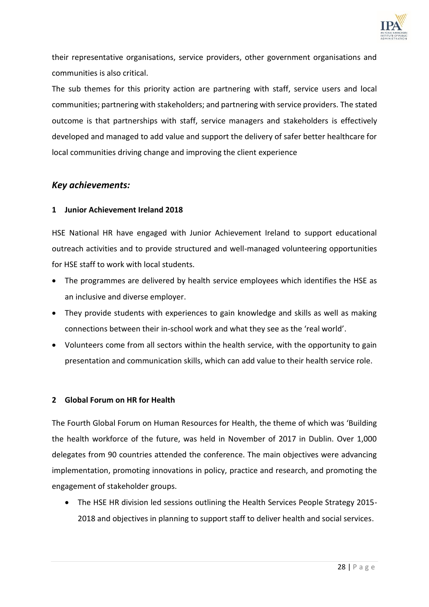

their representative organisations, service providers, other government organisations and communities is also critical.

The sub themes for this priority action are partnering with staff, service users and local communities; partnering with stakeholders; and partnering with service providers. The stated outcome is that partnerships with staff, service managers and stakeholders is effectively developed and managed to add value and support the delivery of safer better healthcare for local communities driving change and improving the client experience

## *Key achievements:*

#### **1 Junior Achievement Ireland 2018**

HSE National HR have engaged with Junior Achievement Ireland to support educational outreach activities and to provide structured and well-managed volunteering opportunities for HSE staff to work with local students.

- The programmes are delivered by health service employees which identifies the HSE as an inclusive and diverse employer.
- They provide students with experiences to gain knowledge and skills as well as making connections between their in-school work and what they see as the 'real world'.
- Volunteers come from all sectors within the health service, with the opportunity to gain presentation and communication skills, which can add value to their health service role.

#### **2 Global Forum on HR for Health**

The Fourth Global Forum on Human Resources for Health, the theme of which was 'Building the health workforce of the future, was held in November of 2017 in Dublin. Over 1,000 delegates from 90 countries attended the conference. The main objectives were advancing implementation, promoting innovations in policy, practice and research, and promoting the engagement of stakeholder groups.

 The HSE HR division led sessions outlining the Health Services People Strategy 2015- 2018 and objectives in planning to support staff to deliver health and social services.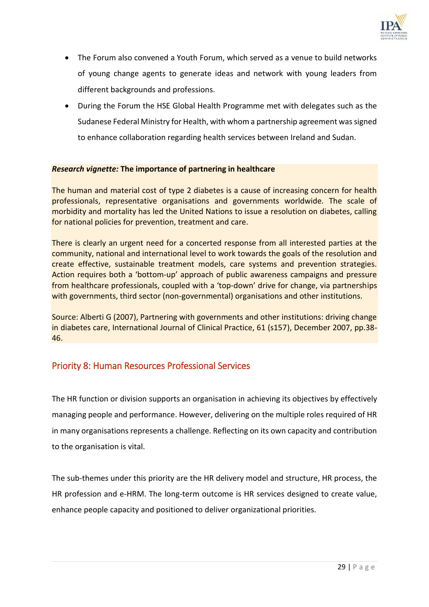

- The Forum also convened a Youth Forum, which served as a venue to build networks of young change agents to generate ideas and network with young leaders from different backgrounds and professions.
- During the Forum the HSE Global Health Programme met with delegates such as the Sudanese Federal Ministry for Health, with whom a partnership agreement was signed to enhance collaboration regarding health services between Ireland and Sudan.

#### *Research vignette:* **The importance of partnering in healthcare**

The human and material cost of type 2 diabetes is a cause of increasing concern for health professionals, representative organisations and governments worldwide. The scale of morbidity and mortality has led the United Nations to issue a resolution on diabetes, calling for national policies for prevention, treatment and care.

There is clearly an urgent need for a concerted response from all interested parties at the community, national and international level to work towards the goals of the resolution and create effective, sustainable treatment models, care systems and prevention strategies. Action requires both a 'bottom‐up' approach of public awareness campaigns and pressure from healthcare professionals, coupled with a 'top-down' drive for change, via partnerships with governments, third sector (non-governmental) organisations and other institutions.

Source: Alberti G (2007), Partnering with governments and other institutions: driving change in diabetes care, International Journal of Clinical Practice, 61 (s157), December 2007, pp.38- 46.

## Priority 8: Human Resources Professional Services

The HR function or division supports an organisation in achieving its objectives by effectively managing people and performance. However, delivering on the multiple roles required of HR in many organisations represents a challenge. Reflecting on its own capacity and contribution to the organisation is vital.

The sub-themes under this priority are the HR delivery model and structure, HR process, the HR profession and e-HRM. The long-term outcome is HR services designed to create value, enhance people capacity and positioned to deliver organizational priorities.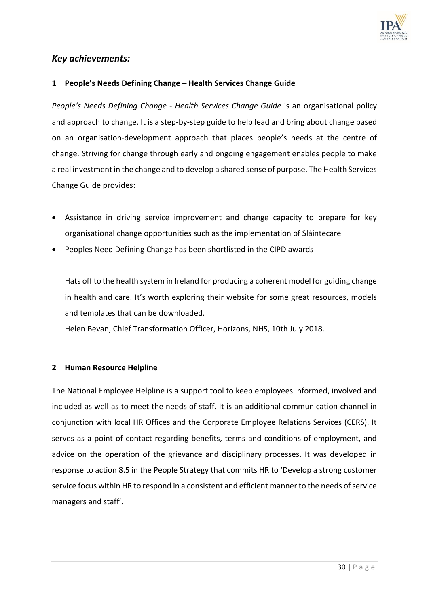

## *Key achievements:*

#### **1 People's Needs Defining Change – Health Services Change Guide**

*People's Needs Defining Change - Health Services Change Guide* is an organisational policy and approach to change. It is a step-by-step guide to help lead and bring about change based on an organisation-development approach that places people's needs at the centre of change. Striving for change through early and ongoing engagement enables people to make a real investment in the change and to develop a shared sense of purpose. The Health Services Change Guide provides:

- Assistance in driving service improvement and change capacity to prepare for key organisational change opportunities such as the implementation of Sláintecare
- Peoples Need Defining Change has been shortlisted in the CIPD awards

Hats off to the health system in Ireland for producing a coherent model for guiding change in health and care. It's worth exploring their website for some great resources, models and templates that can be downloaded.

Helen Bevan, Chief Transformation Officer, Horizons, NHS, 10th July 2018.

#### **2 Human Resource Helpline**

The National Employee Helpline is a support tool to keep employees informed, involved and included as well as to meet the needs of staff. It is an additional communication channel in conjunction with local HR Offices and the Corporate Employee Relations Services (CERS). It serves as a point of contact regarding benefits, terms and conditions of employment, and advice on the operation of the grievance and disciplinary processes. It was developed in response to action 8.5 in the People Strategy that commits HR to 'Develop a strong customer service focus within HR to respond in a consistent and efficient manner to the needs of service managers and staff'.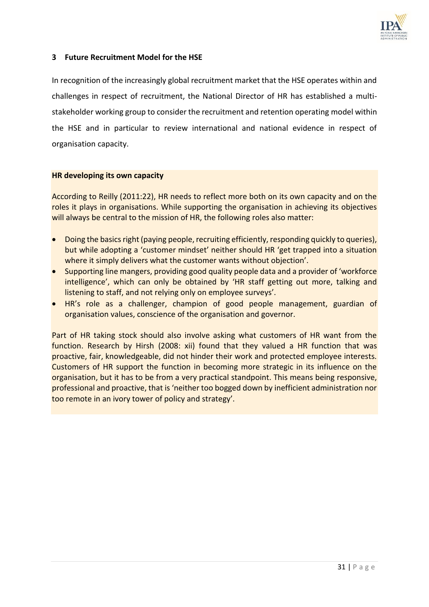

### **3 Future Recruitment Model for the HSE**

In recognition of the increasingly global recruitment market that the HSE operates within and challenges in respect of recruitment, the National Director of HR has established a multistakeholder working group to consider the recruitment and retention operating model within the HSE and in particular to review international and national evidence in respect of organisation capacity.

#### **HR developing its own capacity**

According to Reilly (2011:22), HR needs to reflect more both on its own capacity and on the roles it plays in organisations. While supporting the organisation in achieving its objectives will always be central to the mission of HR, the following roles also matter:

- Doing the basics right (paying people, recruiting efficiently, responding quickly to queries), but while adopting a 'customer mindset' neither should HR 'get trapped into a situation where it simply delivers what the customer wants without objection'.
- Supporting line mangers, providing good quality people data and a provider of 'workforce intelligence', which can only be obtained by 'HR staff getting out more, talking and listening to staff, and not relying only on employee surveys'.
- HR's role as a challenger, champion of good people management, guardian of organisation values, conscience of the organisation and governor.

Part of HR taking stock should also involve asking what customers of HR want from the function. Research by Hirsh (2008: xii) found that they valued a HR function that was proactive, fair, knowledgeable, did not hinder their work and protected employee interests. Customers of HR support the function in becoming more strategic in its influence on the organisation, but it has to be from a very practical standpoint. This means being responsive, professional and proactive, that is 'neither too bogged down by inefficient administration nor too remote in an ivory tower of policy and strategy'.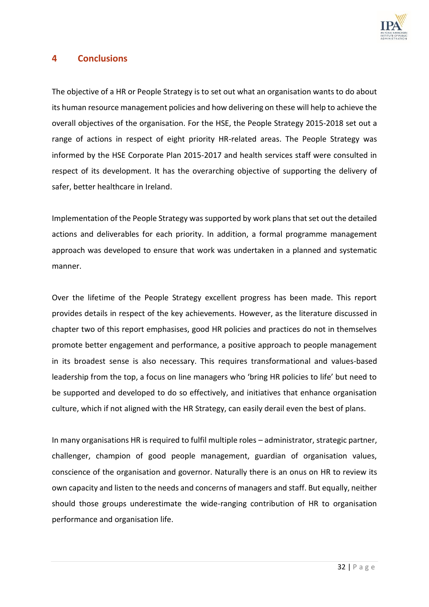

## **4 Conclusions**

The objective of a HR or People Strategy is to set out what an organisation wants to do about its human resource management policies and how delivering on these will help to achieve the overall objectives of the organisation. For the HSE, the People Strategy 2015-2018 set out a range of actions in respect of eight priority HR-related areas. The People Strategy was informed by the HSE Corporate Plan 2015-2017 and health services staff were consulted in respect of its development. It has the overarching objective of supporting the delivery of safer, better healthcare in Ireland.

Implementation of the People Strategy was supported by work plans that set out the detailed actions and deliverables for each priority. In addition, a formal programme management approach was developed to ensure that work was undertaken in a planned and systematic manner.

Over the lifetime of the People Strategy excellent progress has been made. This report provides details in respect of the key achievements. However, as the literature discussed in chapter two of this report emphasises, good HR policies and practices do not in themselves promote better engagement and performance, a positive approach to people management in its broadest sense is also necessary. This requires transformational and values-based leadership from the top, a focus on line managers who 'bring HR policies to life' but need to be supported and developed to do so effectively, and initiatives that enhance organisation culture, which if not aligned with the HR Strategy, can easily derail even the best of plans.

In many organisations HR is required to fulfil multiple roles – administrator, strategic partner, challenger, champion of good people management, guardian of organisation values, conscience of the organisation and governor. Naturally there is an onus on HR to review its own capacity and listen to the needs and concerns of managers and staff. But equally, neither should those groups underestimate the wide-ranging contribution of HR to organisation performance and organisation life.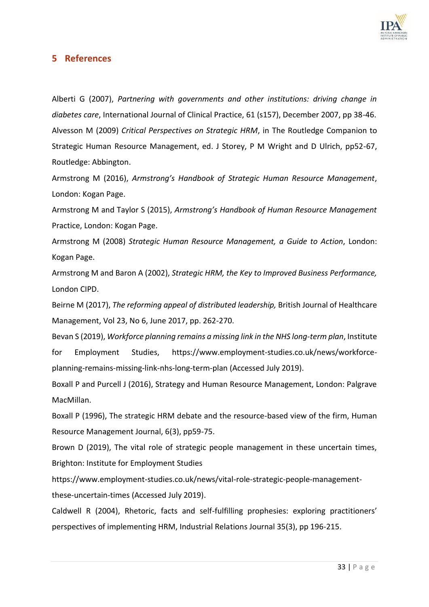

## **5 References**

Alberti G (2007), *Partnering with governments and other institutions: driving change in diabetes care*, International Journal of Clinical Practice, 61 (s157), December 2007, pp 38-46. Alvesson M (2009) *Critical Perspectives on Strategic HRM*, in The Routledge Companion to Strategic Human Resource Management, ed. J Storey, P M Wright and D Ulrich, pp52-67, Routledge: Abbington.

Armstrong M (2016), *Armstrong's Handbook of Strategic Human Resource Management*, London: Kogan Page.

Armstrong M and Taylor S (2015), *Armstrong's Handbook of Human Resource Management* Practice, London: Kogan Page.

Armstrong M (2008) *Strategic Human Resource Management, a Guide to Action*, London: Kogan Page.

Armstrong M and Baron A (2002), *Strategic HRM, the Key to Improved Business Performance,* London CIPD.

Beirne M (2017), *The reforming appeal of distributed leadership,* British Journal of Healthcare Management, Vol 23, No 6, June 2017, pp. 262-270.

Bevan S (2019), *Workforce planning remains a missing link in the NHS long-term plan*, Institute for Employment Studies, [https://www.employment-studies.co.uk/news/workforce](https://www.employment-studies.co.uk/news/workforce-planning-remains-missing-link-nhs-long-term-plan)[planning-remains-missing-link-nhs-long-term-plan](https://www.employment-studies.co.uk/news/workforce-planning-remains-missing-link-nhs-long-term-plan) (Accessed July 2019).

Boxall P and Purcell J (2016), Strategy and Human Resource Management, London: Palgrave MacMillan.

Boxall P (1996), The strategic HRM debate and the resource-based view of the firm, Human Resource Management Journal, 6(3), pp59-75.

Brown D (2019), The vital role of strategic people management in these uncertain times, Brighton: Institute for Employment Studies

[https://www.employment-studies.co.uk/news/vital-role-strategic-people-management](https://www.employment-studies.co.uk/news/vital-role-strategic-people-management-these-uncertain-times)[these-uncertain-times](https://www.employment-studies.co.uk/news/vital-role-strategic-people-management-these-uncertain-times) (Accessed July 2019).

Caldwell R (2004), Rhetoric, facts and self-fulfilling prophesies: exploring practitioners' perspectives of implementing HRM, Industrial Relations Journal 35(3), pp 196-215.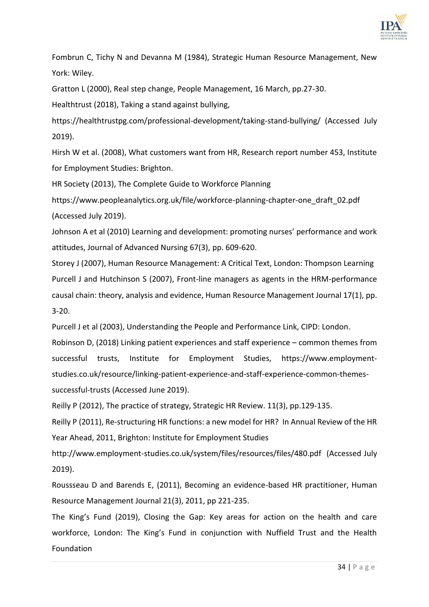

Fombrun C, Tichy N and Devanna M (1984), Strategic Human Resource Management, New York: Wiley.

Gratton L (2000), Real step change, People Management, 16 March, pp.27-30.

Healthtrust (2018), Taking a stand against bullying,

<https://healthtrustpg.com/professional-development/taking-stand-bullying/> (Accessed July 2019).

Hirsh W et al. (2008), What customers want from HR, Research report number 453, Institute for Employment Studies: Brighton.

HR Society (2013), The Complete Guide to Workforce Planning

[https://www.peopleanalytics.org.uk/file/workforce-planning-chapter-one\\_draft\\_02.pdf](https://www.peopleanalytics.org.uk/file/workforce-planning-chapter-one_draft_02.pdf) (Accessed July 2019).

Johnson A et al (2010) Learning and development: promoting nurses' performance and work attitudes, Journal of Advanced Nursing 67(3), pp. 609-620.

Storey J (2007), Human Resource Management: A Critical Text, London: Thompson Learning Purcell J and Hutchinson S (2007), Front-line managers as agents in the HRM-performance causal chain: theory, analysis and evidence, Human Resource Management Journal 17(1), pp. 3-20.

Purcell J et al (2003), Understanding the People and Performance Link, CIPD: London.

Robinson D, (2018) Linking patient experiences and staff experience – common themes from successful trusts, Institute for Employment Studies, [https://www.employment](https://www.employment-studies.co.uk/resource/linking-patient-experience-and-staff-experience-common-themes-successful-trusts)[studies.co.uk/resource/linking-patient-experience-and-staff-experience-common-themes](https://www.employment-studies.co.uk/resource/linking-patient-experience-and-staff-experience-common-themes-successful-trusts)[successful-trusts](https://www.employment-studies.co.uk/resource/linking-patient-experience-and-staff-experience-common-themes-successful-trusts) (Accessed June 2019).

Reilly P (2012), The practice of strategy, Strategic HR Review. 11(3), pp.129-135.

Reilly P (2011), Re-structuring HR functions: a new model for HR? In Annual Review of the HR Year Ahead, 2011, Brighton: Institute for Employment Studies

<http://www.employment-studies.co.uk/system/files/resources/files/480.pdf>(Accessed July 2019).

Roussseau D and Barends E, (2011), Becoming an evidence-based HR practitioner, Human Resource Management Journal 21(3), 2011, pp 221-235.

The King's Fund (2019), Closing the Gap: Key areas for action on the health and care workforce, London: The King's Fund in conjunction with Nuffield Trust and the Health Foundation